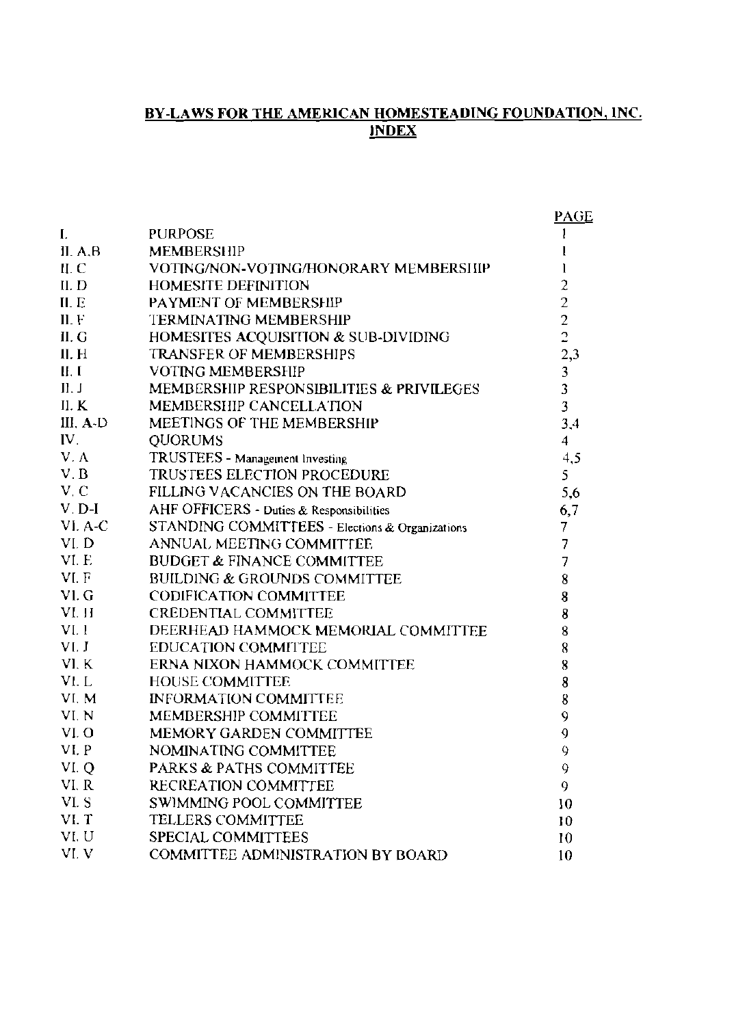#### <u>BY-LAWS FOR THE AMERICAN HOMESTEADING FOUNDATION, INC.</u> <u>index</u>

|           |                                                 | PAGE                                            |
|-----------|-------------------------------------------------|-------------------------------------------------|
| I.        | <b>PURPOSE</b>                                  | 1                                               |
| II. A.B.  | <b>MEMBERSHIP</b>                               |                                                 |
| II. C     | VOTING/NON-VOTING/HONORARY MEMBERSHIP           | 1                                               |
| ILD       | <b>HOMESITE DEFINITION</b>                      |                                                 |
| ILE       | PAYMENT OF MEMBERSHIP                           |                                                 |
| II. F     | <b>TERMINATING MEMBERSHIP</b>                   | $\begin{array}{c} 2 \\ 2 \\ 2 \\ 2 \end{array}$ |
| II. G     | HOMESITES ACQUISITION & SUB-DIVIDING            |                                                 |
| II. H     | TRANSFER OF MEMBERSHIPS                         | 2,3                                             |
| II, I     | <b>VOTING MEMBERSHIP</b>                        |                                                 |
| II. J     | MEMBERSHIP RESPONSIBILITIES & PRIVILEGES        | $\frac{3}{3}$                                   |
| II. $K$   | <b>MEMBERSHIP CANCELLATION</b>                  | $\overline{\mathbf{3}}$                         |
| III, A-D  | MEETINGS OF THE MEMBERSHIP                      | 3,4                                             |
| IV.       | <b>QUORUMS</b>                                  | $\overline{4}$                                  |
| V.A       | TRUSTEES - Management Investing                 | 4,5                                             |
| V, B      | TRUSTEES ELECTION PROCEDURE                     | 5                                               |
| V, C      | FILLING VACANCIES ON THE BOARD                  | 5,6                                             |
| $V$ . D-I | AHF OFFICERS - Duties & Responsibilities        | 6,7                                             |
| VI. A-C   | STANDING COMMITTEES - Elections & Organizations | 7                                               |
| VI.D      | ANNUAL MEETING COMMITTEE                        | 7                                               |
| VI.E      | <b>BUDGET &amp; FINANCE COMMITTEE</b>           | $\overline{7}$                                  |
| VI.F      | <b>BUILDING &amp; GROUNDS COMMITTEE</b>         | 8                                               |
| VI.G      | <b>CODIFICATION COMMITTEE</b>                   | 8                                               |
| VI. H     | <b>CREDENTIAL COMMITTEE</b>                     | 8                                               |
| VI.1      | DEERHEAD HAMMOCK MEMORIAL COMMITTEE             | 8                                               |
| VI. J     | <b>EDUCATION COMMITTEE</b>                      | 8                                               |
| VI. K     | ERNA NIXON HAMMOCK COMMITTEE                    | 8                                               |
| VI. L     | <b>HOUSE COMMITTEE</b>                          | 8                                               |
| VI. M     | <b>INFORMATION COMMITTEE</b>                    | 8                                               |
| VI.N      | MEMBERSHIP COMMITTEE                            | 9                                               |
| VI.O      | MEMORY GARDEN COMMITTEE                         | 9                                               |
| VI. P     | NOMINATING COMMITTEE                            | 9                                               |
| VI. Q     | <b>PARKS &amp; PATHS COMMITTEE</b>              | 9                                               |
| VI. R     | RECREATION COMMITTEE                            | 9                                               |
| VI.S      | SWIMMING POOL COMMITTEE                         | 10                                              |
| VI. T     | <b>TELLERS COMMITTEE</b>                        | 10                                              |
| VI.U      | SPECIAL COMMITTEES                              | 10                                              |
| VI.V      | COMMITTEE ADMINISTRATION BY BOARD               | 10                                              |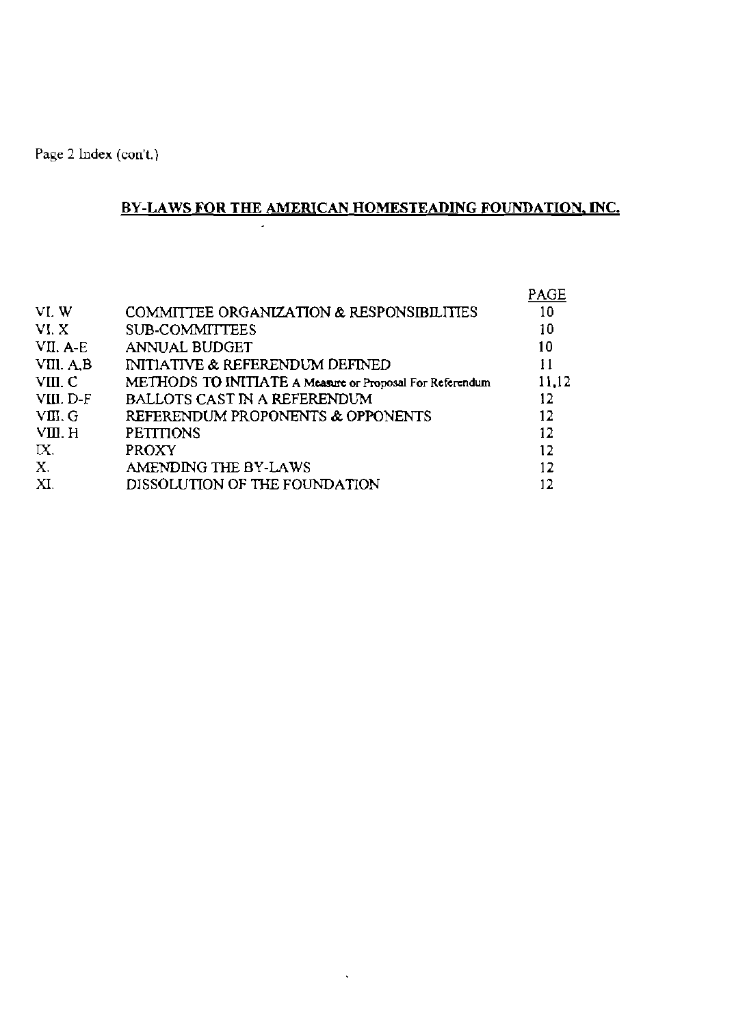# BY-LAWS FOR THE AMERICAN HOMESTEADING FOUNDATION, INC.

|           |                                                          | PAGE  |
|-----------|----------------------------------------------------------|-------|
| VI.W      | COMMITTEE ORGANIZATION & RESPONSIBILITIES                | 10    |
| VI.X      | <b>SUB-COMMITTEES</b>                                    | 10    |
| VII. A-E  | ANNUAL BUDGET                                            | 10    |
| VIII. A,B | <b>INITIATIVE &amp; REFERENDUM DEFINED</b>               | 11    |
| VIII. C   | METHODS TO INITIATE A Measure or Proposal For Referendum | 11,12 |
| VIII. D-F | <b>BALLOTS CAST IN A REFERENDUM</b>                      | 12.   |
| VIII. G   | REFERENDUM PROPONENTS & OPPONENTS                        | 12    |
| VIII. H   | <b>PETITIONS</b>                                         | 12    |
| IX.       | <b>PROXY</b>                                             | 12    |
| X.        | AMENDING THE BY-LAWS                                     | 12    |
| XI.       | DISSOLUTION OF THE FOUNDATION                            |       |

 $\hat{\mathbf{v}}$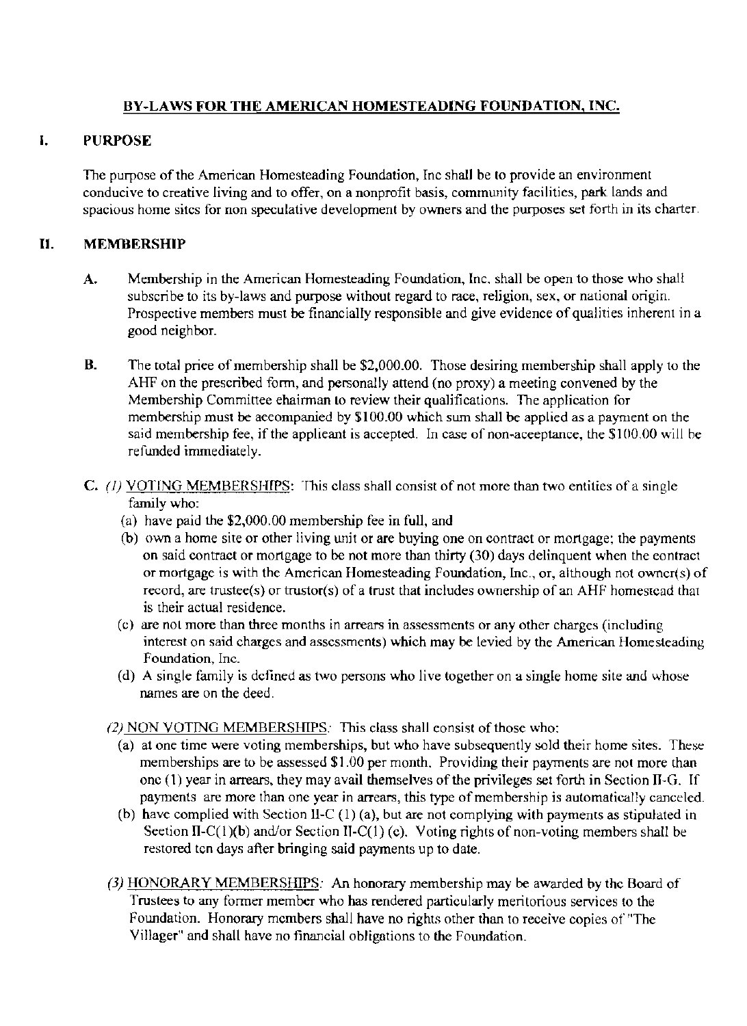# BY-LAWS FOR THE AMERICAN HOMESTEADING FOUNDATION, INC.

## I. PURPOSE

The purpose of the American Homesteading Foundation, Inc shall be to provide an environment conducive to creative living and to offer, on a nonprofit basis, community faeilities, park lands and spacious home sites for non speculative development by owners and the purposes set forth in its charter.

# II. MEMBERSHIP

- A. Membership in the American Homesteading Foundation, Inc, shall be open to those who shall subscribe to its by-laws and purpose without regard to race, religion, sex, or national origin. Prospective members must be financially responsible and give evidence of qualities inherent in a good neighbor.
- B. The total price of membership shall be \$2,000.00. Those desiring membership shall apply to the AHF on the prescribed form, and personally attend (no proxy) a meeting convened by the Membership Committee ehairman to review their qualifications. The application for membership must be aeeompanied by \$100.00 which sum shall be applied as a payment on the said membership fee, if the applieant is accepted. In case of non-acceptance, the \$100,00 will be refunded immediately.
- C. (1) VOTING MEMBERSHIPS: This class shall consist of not more than two entities of a single family who:
	- (a) have paid the \$2,000.00 membership fee in full, and
	- (b) own a home site or other living unit or are buying one on contract or mortgage; the payments on said contract or mortgage to be not more than thirty (30) days delinquent when the eontract or mortgage is with the American Homesteading Foundation, Inc., or, although not owncr(s) of record, are trustee(s) or trustor(s) of a trust that includes ownership of an AHF homestcad that is their actual residence.
	- (c) are noL more than three months in arrears in assessments or any other charges (including interest on said charges and asscssments) which may be levied by the American Homesteading Foundation, Inc.
	- (d) A single family is defined as two persons who live together on a single home site and whose names are on the deed.

(2) NON VOTING MEMBERSHIPS: This class shall eonsist of those who:

- (a) at one time were voting memberships, but who have subsequently sold their home sites. These memberships are to be assessed \$1.00 per month. Providing their payments are not more than one (1) year in arrears, they may avail themselves ofthe privileges set forth **in** Section II-G. If payments are more than one year in arrears, this type of membership is automatically canceled.
- (b) have complied with Section II-C (1) (a), but are not complying with payments as stipulated in Seetion II-C(1)(b) and/or Section II-C(1) (c). Voting rights of non-voting members shall be restored tcn days after bringing said payments up to date.
- (3) HONORARY MEMBERSHIPS: An honorary membership may be awarded by the Board of Trustees to any former member who has rendered particularly meritorious services to the Foundation. Honorary mcmbers shall have no rights other than to receive copies of "The Villager" and shall have no financial obligations to the Fowldation.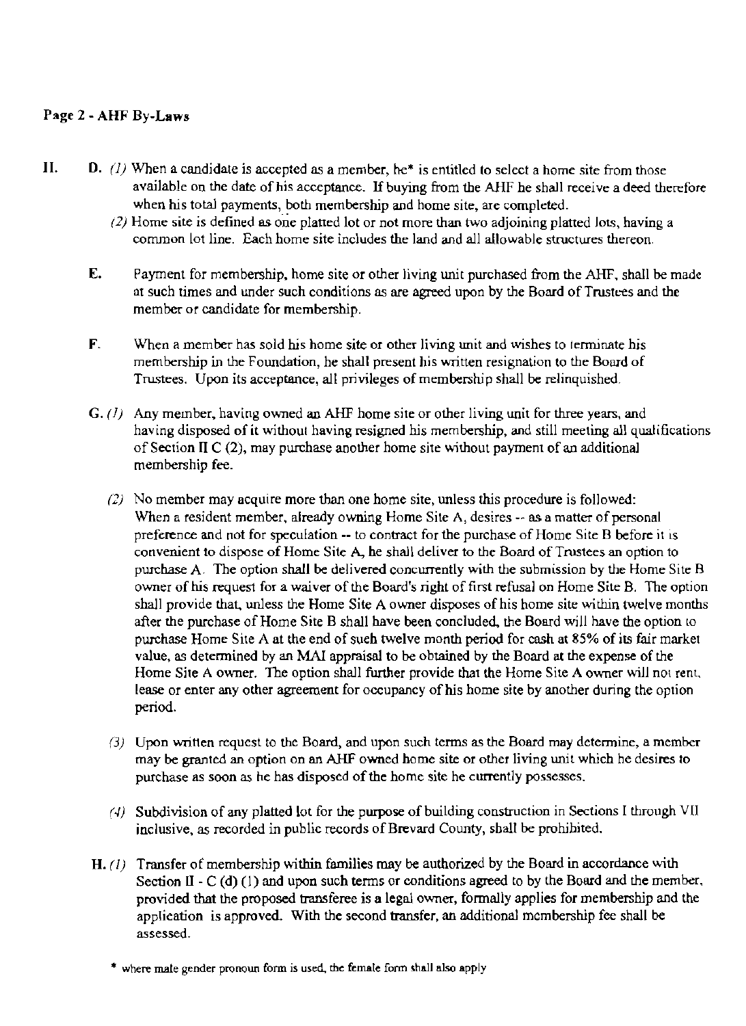# Page 2 - AHF By-Laws

- **11. D.** (1) When a candidate is accepted as a member, he<sup>\*</sup> is entitled to select a home site from those available on the date of his acceptance. If buying from the AHF he shall receive a deed therefore when his total payments, both membership and home site, are completed.
	- $(2)$  Home site is defined as one platted lot or not more than two adjoining platted lots, having a common lot line. Each horne site includes the land and all allowable structures thereon.
	- E. Payment for membership, home site or other living unit purchased from the AHF, shall be made at such times and under such conditions as are agreed upon by the Board of Trustees and the member or candidate for membership.
	- F. When a member has sold his home site or other living unit and wishes to terminate his membership in the Foundation, he shall present his written resignation to the Board of Trustees. Upon its acceptance, all privileges of membership shall be relinquished.
	- $G. (1)$  Any member, having owned an AHF home site or other living unit for three years, and having disposed of it without having resigned his membership, and still meeting all qualifications of Section II C  $(2)$ , may purchase another home site without payment of an additional membership fee.
		- (2) No member may acquire more than one home site, unless this procedure is followed: When a resident member, already owning Home Site A, desires  $-$  as a matter of personal preference and not for speculation -- to contract for the purchase of Home Site B before it is convenient to dispose of Home Site A, he shall deliver to the Board of Trustees an option to purchase A. The option shall be delivered concurrently with the submission by the Home Site R owner of his request for a waiver of the Board's right of first refusal on Home Site B. The option shall provide that, unless the Home Site A owner disposes of his home site within twelve months after the purchase of Home Site B shall have been concluded, the Board will have the option to purchase Home Site A at the end of sueh twelve month period for cash at 85% of its fair market value. as determined by an MAl appraisal to be obtained by the Board at the expense of the Home Site A owner. The option shall further provide that the Home Site A owner will not rent, lease or enter any other agreement for occupancy of his home site by another during the option period.
		- (3) Upon written request to the Board, and upon such terms as the Board may determine, a member may be granted an option on an AHF owned home site or other living unit which he desires to purchase as soon as he has disposed of the home site he currently possesses.
		- (4) Subdivision of any platted lot for the purpose of building construction in Sections I through VII inclusive, as recorded in public records of Brevard County, shall be prohibited.
	- H.  $(l)$  Transfer of membership within families may be authorized by the Board in accordance with Section II -  $C$  (d) (1) and upon such terms or conditions agreed to by the Board and the member, provided that the proposed transferee is a legal owner, formally applies for membership and the applieation is approved. With the second transfer, an additional membership fee shall be assessed.
		- \* where male gender pronoun form is used, the female form shall also apply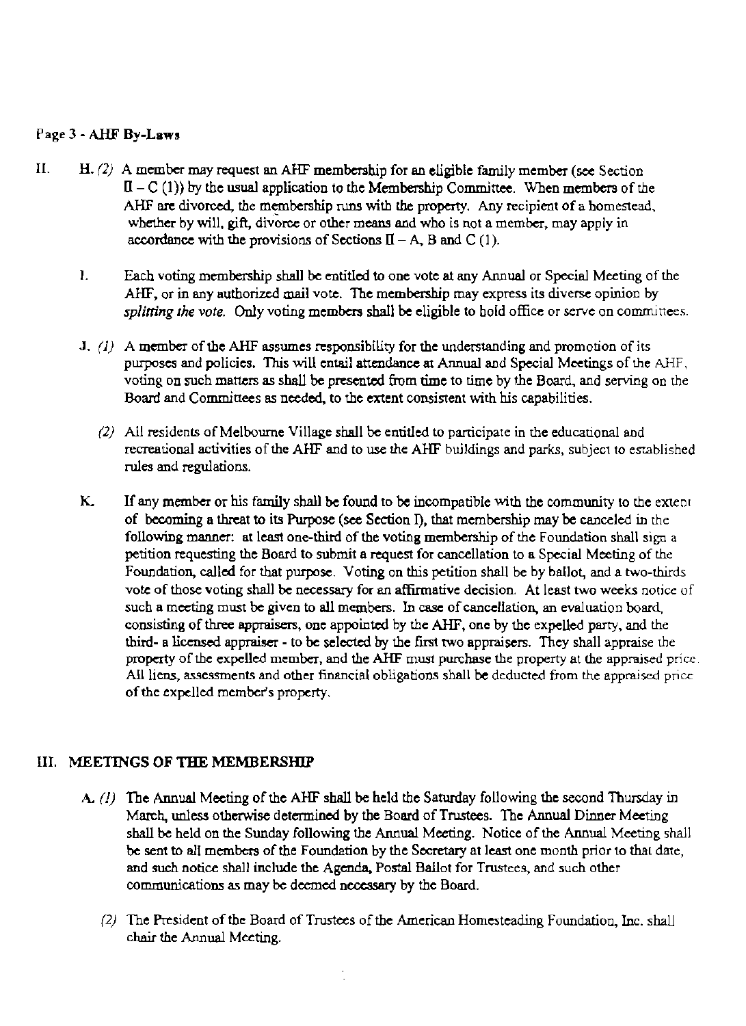## Page 3 - AHF By-Law.

- II.  $H. (2)$  A member may request an AHF membership for an eligible family member (see Section  $II - C (1)$  by the usual application to the Membership Committee. When members of the AHF are divorced, the membership runs with the property. Any recipient of a homestead, whether by will, gift, divorce or other means and who is not a member, may apply in accordance with the provisions of Sections  $\Pi - A$ , B and C (1).
	- I. Eacb voting membership sball be entitled to one vote at any Annual or Special Meeting of the AHF. or in any authorized mail vote. The membership may express its diverse opinion by *splitting the vote.* Only voting members shall be eligible to hold office or serve on committees.
	- J.  $(1)$  A member of the AHF assumes responsibility for the understanding and promotion of its purposes and policies. This will entail attendance at Annual and Special Meetings of the AHF, voting on such matters as shall be presented from time to time by the Board, and serving on the Board and Committees as needed, to the extent consistent with his capabilities.
		- (2) All residents of Melbourne Village shall be entitled to participate in the educational and recreational activities of the AHF and to use the AHF bwldings and parks, subject to established rules and regulations.
	- K. If any member or his family shall be found to be incompatible with the community to the extent of becoming a threat to its Purpose (see Section I), that membership may be canceled in the following manner: at least one-third of the voting membership of the Foundation shall sign a petition requesting the Board to submit a request for cancellation to a Special Meeting of the Foundation, ealled for that purpose. Voting on this petition shall be by ballot, and a two-thirds vote of those voting shall be necessary for an affirmative decision. At least two weeks notice of such a meeting must be given to all members. In case of cancellation, an evaluation board, consisting of three appraisers, one appointed by the AHF, one by the expelled party, and the third- a licensed appraiser - to be selected by the first two appraisers. They shall appraise the property of the expelled member. and the AHF must purchase the property at the appraised price All liens, assessments and other financial obligations shall be deducted from the appraised price of the expelled member's property.

## III. MEETINGS OF THE MEMBERSHIP

- A.  $(1)$  The Annual Meeting of the AHF shall be held the Saturday following the second Thursday in March, unless otherwise determined by the Board of Trustees. The Annual Dinner Meeting shall be held on the Sunday following the Annual Meeting. Notice of the Annual Meeting shall be sent to all members of the Foundation by the Secretary at least one month prior to that date, and such notice shall include the Agenda. Postal Ballot for Trustees, and such other communications as may be deemed necessary by the Board.
	- (2) The President of the Board of Trustees of the American Homesteading Foundation, Inc. shall chair the Annual Meeting.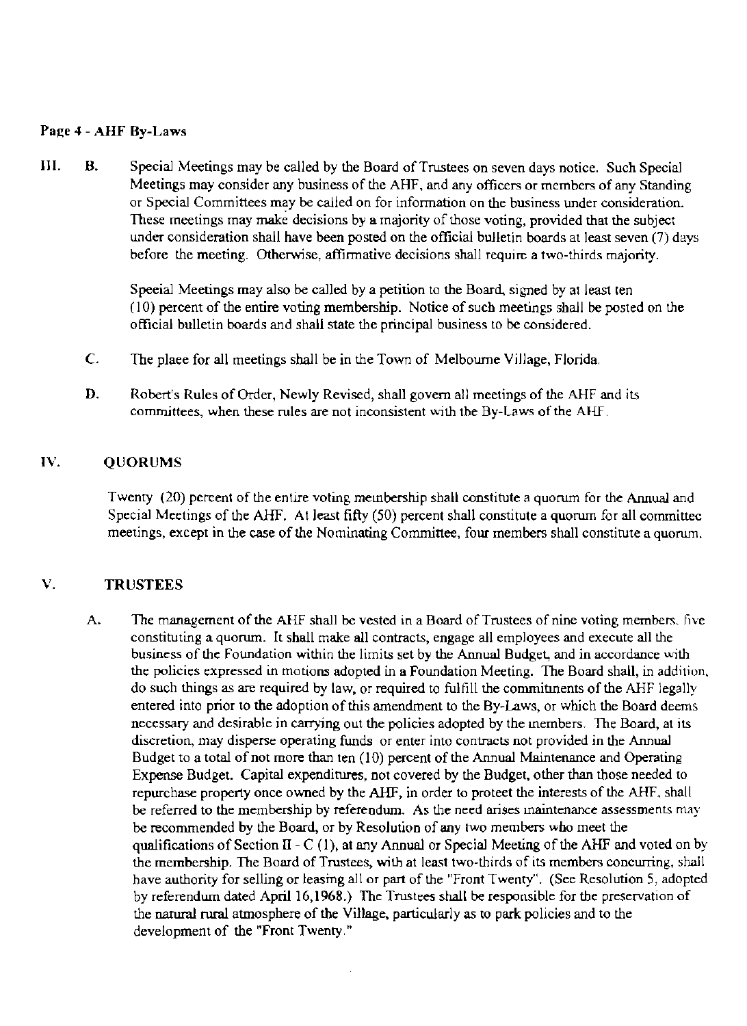#### Paee 4 - AHF By-Laws

III. B. Special Meetings may be called by the Board of Trustees on seven days notice. Such Special Meetings may consider any business of the AHF. and any officers or members of any Standing or Special Committees may be called on for information on the business under consideration. These meetings may make decisions by a majority of those voting, provided that the subject under consideration shall have been posted on the official bulletin boards at least seven (7) days before the meeting. Otherwise, affirmative decisions shall require a two-thirds majority.

> Speeial Meetings may also be called by a petition to the Board, signed by at least (en  $(10)$  percent of the entire voting membership. Notice of such meetings shall be posted on the official bulletin boards and shall state the principal business to be considered.

- C. The plaee for all meetings shall be in the Town of Melbourne Village, Florida.
- D. Robert's Rules of Order, Newly Revised, shall govern all meetings of the AHF and its committees, when these rules are not inconsistent with the By-Laws of the AlIT.

#### IV. QUORUMS

Twenty (20) pereent of the entire voting membership shall constitute a quorum for the Annual and Special Meetings of the AHF. At least fifty (50) percent shall constitute a quorum for all committec meetings, except in the case of the Nominating Committee, four members shall constitute a quorum.

## V. TRUSTEES

A. The management of the AHF shall be vested in a Board of Trustees of nine voting members. five constituting a quorum. It shall make all contracts, engage all employees and execute all the business of the Foundation within the limits set by the Annual Budget., and in accordance with the policies expressed in motions adopted in a Foundation Meeting. The Board shall, in addition, do such things as are required by law, or required to fulfill the commitments of the AHF legally entered into prior to the adoption of this amendment to the By-Laws, or which the Board deems necessary and desirable in carrying out the policies adopted by the members. The Board, at its discretion, may disperse operating funds or enter into contracts not provided in the Annual Budget to a total of not more than ten (10) percent of the Annual Maintenance and Operating Expense Budget. Capital expenditures, not covered by the Budget, other than those needed to repurchase property once owned by the AHF, in order to proteet the interests of the AHF, shall be referred to the membership by referendum. As the need arises maintenance assessments may be recommended by the Board, or by Resolution of any two members who meet the qualifications of Section II -  $C(1)$ , at any Annual or Special Meeting of the AHF and voted on by the membership. The Board of Trustees, with at least two-thirds of its members concurring, shall have authority for selling or leasing all or part of the "Front Twenty". (See Resolution 5, adopted by referendum dated April 16,1968.) The Trustees shall be responsible for the preservation of the narura1 rural atmosphere of the Village, particularly as to park policies and to the development of the "Front Twenty."

 $\bar{z}$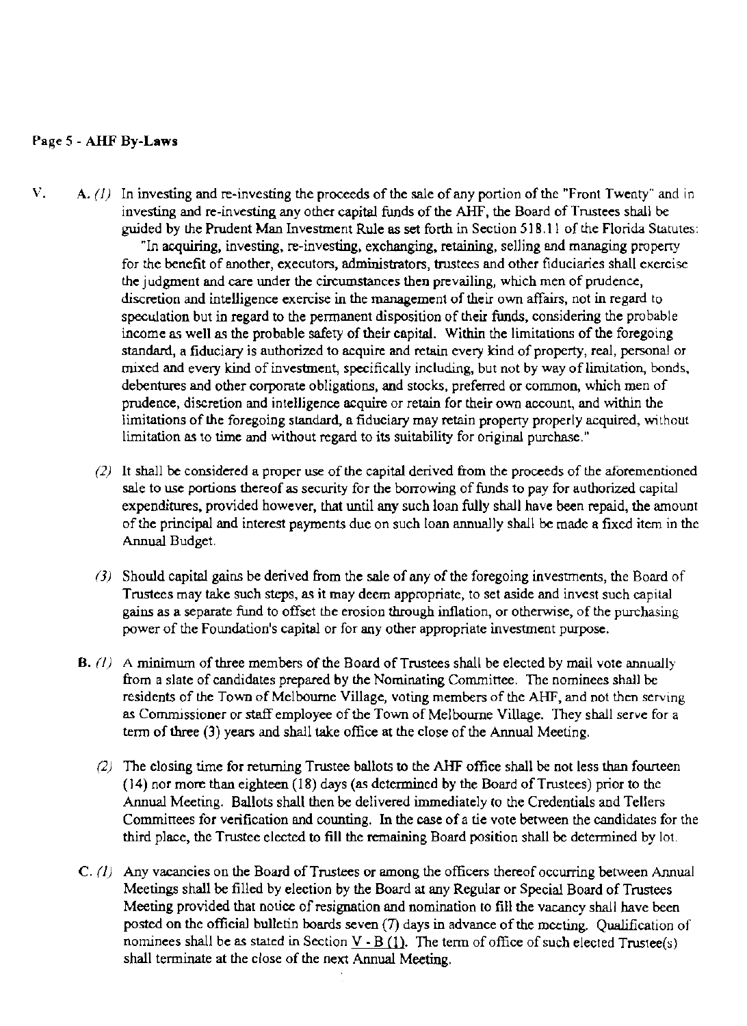## Page 5 - AHF By-Laws

- V.  $A. (1)$  In investing and re-investing the proceeds of the sale of any portion of the "Front Twenty" and in investing and re-investing any other capital funds of the AHF, the Board of Trustees shall be guided by the Prudent Man Investment Rule as set forth in Section 518.11 of the Florida Statutes: "In acquiring, investing. re-investing, exchanging. retaining, selling and managing property for the benefit of another, executors. administrators, trustees and other fiduciaries shall exercise the judgment and care under the circumstances then prevailing, which men of prudence, discretion and intelligence exercise in the management of their own affairs, not in regard to speculation but in regard to the permanent disposition of their funds, considering the probable income as well as the probable safety of their capital. Within the limitations of the foregoing standard, a fiduciary is authorized to acquire and retain every kind of property, real, personal or mixed and every kind of investment, specifically including, but not by way of limitation, bonds, debentures and other corporate obligations, and stocks, preferred or common, which men of prudence, discretion and intelligence acquire or retain for their own account, and within the limitations of the foregoing standard, a fiduciary may retain property properly acquired, without limitation as to time and without regard to its suitability for original purchase."
	- $(2)$  It shall be considered a proper use of the capital derived from the proceeds of the aforementioned sale to use portions thereof as security for the borrowing of funds to pay for authorized capital expenditures, provided however, that until any such loan fully shall have been repaid, the amount ofthe principal and interest payments due on such loan annually shall be made a fixed item in the Annual Budget.
	- (3) Should capital gains be derived from the sale of any of the foregoing investments, the Board of Trustees may take such steps, as it may deem appropriate, to set aside and invest such capital gains as a separate fund to offset the erosion through inflation, or otherwise, of the purchasing power of the Foundation's capital or for any other appropriate investment purpose.
	- B.  $(l)$  A minimum of three members of the Board of Trustees shall be elected by mail vote annually from a slate of candidates prepared by the NOminating Committee. The nominees shall be residents of the Town of Melbourne Village, voting members of the AHF, and not then serving as Commissioner or staff employee of the Town of Melbourne Village. They shall serve for a term of three (3) years and shall take office at the close of the Annual Meeting.
		- $(2)$  The closing time for returning Trustee ballots to the AHF office shall be not less than founteen (14) nor more than eighteen (18) days (as determined by the Board ofTrustees) prior to the Annual Meeting. Ballots shall then be delivered immediately to the Credentials and Tellers Committees for verification and counting. In the case of a tie vote between the candidates for the third place, the Trustee elected to fill the remaining Board position shall be determined by lot.
	- $C. (1)$  Any vacancies on the Board of Trustees or among the officers thereof occurring between Annual Meetings shall be filled by election by the Board at any Regular or Special Board of Trustees Meeting provided that notice of resignation and nomination to fill the vacancy shall have been posted on the official bulletin boards seven (7) days in advance of the meeting. Qualification of nominees shall be as stated in Section  $V - B(1)$ . The term of office of such elected Trustee(s) shall terminate at the close of the next Annual Meeting.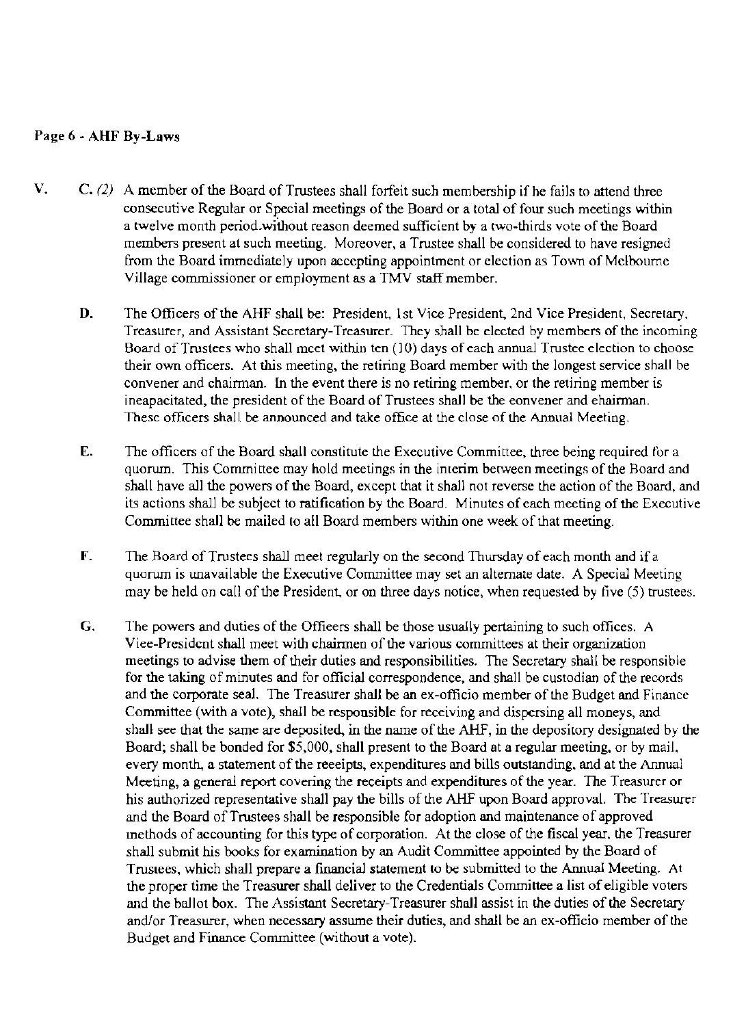## Page 6 - AHF By-Laws

- V.  $C. (2)$  A member of the Board of Trustees shall forfeit such membership if he fails to attend three consecutive Regular or Special meetings of the Board or a total of four such meetings within a twelve month period.without reason deemed sufficient by a two-thirds vote of the Board members present at such meeting. Moreover, a Trustee shall be considered to have resigned from the Board immediately upon accepting appointment or election as Town of Melbourne Village commissioner or employment as a TMV staff member.
	- D. The Officers of the AHF shall be: President, 1st Vice President, 2nd Vice President, Secretary. Treasurer, and Assistant Secretary-Treasurer. They shall be elected by members of the incoming Board of Trustees who shall meet within ten (10) days of each annual Trustee election to choose their own officers. At this meeting, the retiring Board member with the longest service shall be convener and chairman. In the event there is no retiring member, or the retiring member is ineapacitated, the president of the Board of Trustees shall be the eonvener and ehairman. These officers shall be announced and take office at the close of the Annual Meeting.
	- E. The officers of the Board shall constitute the Executive Committee, three being required for a quorum. This Committee may hold meetings in the interim between meetings of the Board and shall have all the powers of the Board, except that it shall not reverse the action of the Board, and its actions shall be subject to ratification by the Board. Minutes of each meeting of the Executive Committee shall be mailed to all Board members within one week of that meeting.
	- F. The Board of Trustees shall meet regularly on the second Thursday of each month and if a quorum is unavailable the Executive Committee may set an alternate date. A Special Meeting may be held on call of the President, or on three days notice, when requested by five (5) trustees.
	- G. The powers and duties of the Offieers shall be those usually pertaining to such offices. A Viee-President shall meet with chairmen of the various committees at their organization meetings to advise them of their duties and responsibilities. The Secretary shall be responsible for the taking of minutes and for official correspondence, and shall be custodian of the records and the corporate seal. The Treasurer shall be an ex-officio member of the Budget and Finance Committee (with a vote), shall be responsible for receiving and dispersing all moneys, and shall see that the same are deposited, in the name of the AHF, in the depository designated by the Board; shall be bonded for \$5,000, shall present to the Board at a regular meeting, or by mail, every month, a statement of the reeeipts, expenditures and bills outstanding, and at the Annual Meeting, a general report covering the receipts and expenditures of the year. The Treasurer or his authorized representative shall pay the bills of the AHF upon Board approval. The Treasurer and the Board ofTrustees shall be responsible for adoption and maintenance of approved methods of accounting for this type of corporation. At the close of the fiscal year, the Treasurer shall submit his books for examination by an Audit Committee appointed by the Board of Truslees, which shall prepare a financial statement to be submitted to the Annual Meeting. At the proper time the Treasurer shall deliver to the Credentials Committee a list of eligible voters and the ballot box. The Assistant Secretary-Treasurer shall assist in the duties of the Secretary and/or Treasurer, when necessary assume their duties, and shall be an ex-officio member of the Budget and Finance Committee (without a vote).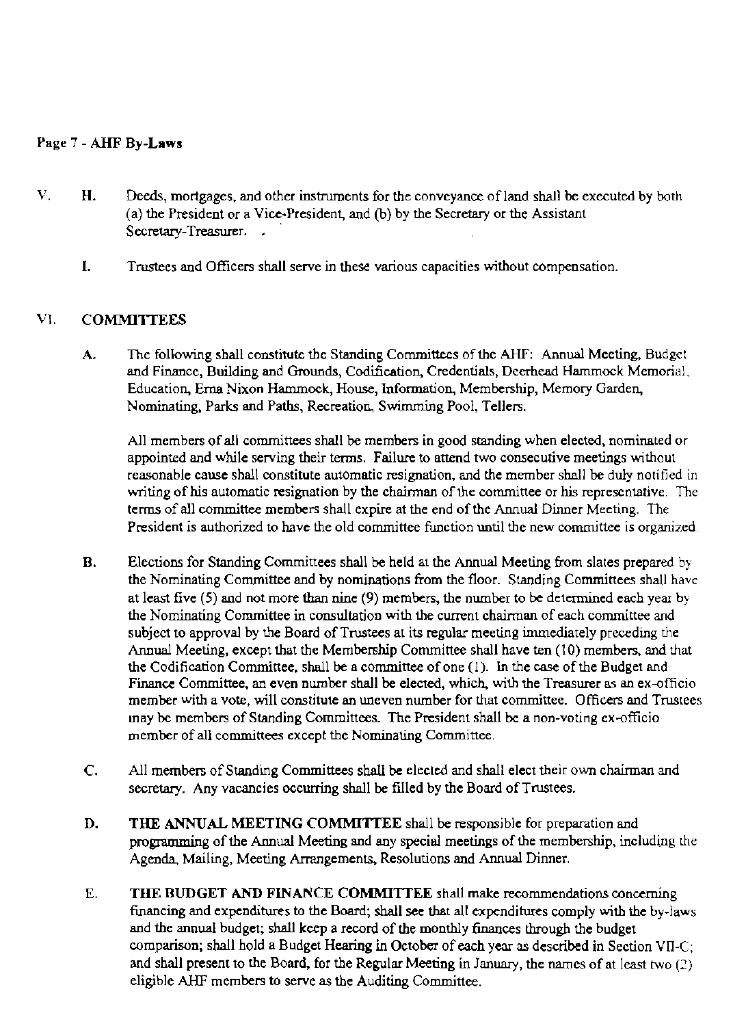## Page 7 - AHF By-Laws

- V. H. Deeds, mortgages, and other instruments for the conveyance ofland shall be executed by both (a) the President or a Vice~President, and (b) by the Secretary or the Assistant Secretary-Treasurer.
	- I. Trustees and Officers shall serve in these various capacities without compensation.

## VI. COMMITTEES

A. The following shall constitute the Standing Committees of the AHF: Annual Meeting, Budget and Finance. Building and Grounds, Codification, Credentials, Deerhead Hammock Memorial, Education, Erna Nixon Hammock, House, Information, Membership. Memory Garden, Nominating, Parks and Paths, Recreation, Swimming Pool, Tellers.

All members of all committees shall be members in good standing when elected, nominated Or appointed and while serving their terms. Failure to attend two consecutive meetings without reasonable cause shall constitute automatic resignation, and the member shall be duly notified in writing of his automatic resignation by the chairman of the committee or his representative. The terms of all committee members shall expire at the end of the Annual Dinner Meeting. The President is authorized to have the old committee function until the new committee is organized

- B. Elections for Standing Committees shall be held at the Annual Meeting from slales prepared by the Nominating Committee and by nominatioos from the floor. Standing Committees shall have at least five (5) and not more than nine (9) members, the number to be determined each year by the Nominating Committee in consultation with the current chainnan of each committee and subject to approval by the Board of Trustees at its regular meeting immediately preceding the Annual Meeting, except that the Membership Committee shall have ten (10) members, and that the Codification Committee, shall be a committee of one (1). In the case of the Budget and Finance Committee, an even number shall be elected, which. with the Treasurer as an ex-officio member with a vote, will constitute an uneven number for that committee. Officers and Trustees may be members of Standing Committees. The President shall be a non-voting ex-officio member of all committees except the Nominating Committee.
- C. All members ofStanding Committees shall be elected and shall elect their own chairman and secretary. Any vacancies occurring shall be filled by the Board of Trustees.
- D. THE ANNUAL MEETING COMMITTEE shall be responsible for preparation and programming of the Annual Meeting and any special meetings of the membership, including the Agenda, Mailing, Meeting Arrangements, Resolutions and Annual Dinner.
- E. THE BUDGET AND FINANCE COMMITTEE shall make recommendations concerning financing and expenditures to the Board; shall see that all expenditures comply with the by-laws and the annual budget; sball keep a record of the monthly finances through the budget comparison; shall hold a Budget Hearing in October of each year as described in Section VIl-C; and shall present to the Board, for the Regular Meeting in January, the names of at least two (2) eligible AHF members to serve as the Auditing Committee.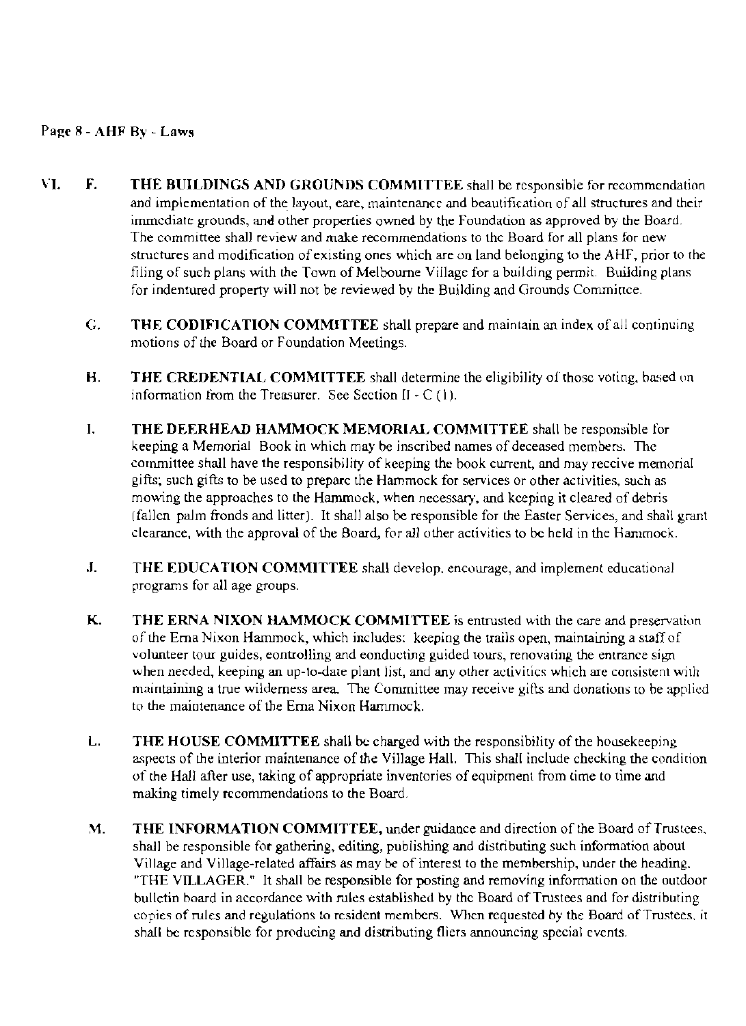## Page 8 - AHF By - Laws

- VI. F. THE BUILDINGS AND GROUNDS COMMITTEE shall be responsible for recommendation and implementation of the layout, eare, maintenance and beautification of all structures and their immediate grounds, and other properties owned by the Foundation as approved by the Board. The committee shall review and make recommendations to the Board for all plans for new structures and modification of existing ones which are on land belonging to the AHF, prior to the filing of such plans with the Town of Melbourne Village for a building permit. Building plans for indentured property will not be reviewed by the Building and Grounds Commince.
	- G. THE CODIFICATION COMMITTEE shall prepare and maintain an index of all continuing motions of the Board or Foundation Meetings.
	- H. THE CREDENTIAL COMMITTEE shall determine the eligibility of those voting, based on information from the Treasurer. See Section  $II \cdot C(1)$ .
	- I. THE DEERHEAD HAMMOCK MEMORIAL COMMITTEE shall be responsible for keeping a Memorial Book *in* which may be inscribed names of deceased members. The committee shall have the responsibility of keeping the book current, and may reccive memorial gifts; such gifts to be used to preparc the Hammock for services or other activities, such as mowing the approaches to the Hammock, when necessary, and kceping it cleared of debris (fallen palm fronds and litter). It shall also be responsible for the Easter Services, and shall grant clearance, with the approval of the Board, for all other aClivities to be held in the Hammock.
	- J. THE EDUCATION COMMITTEE shall develop, encourage, and implement educational programs for all age groups.
	- K. THE ERNA NIXON HAMMOCK COMMITTEE is entrusted with the care and preservation of the Ema Nixon Hammock, which includes: keeping the trails open, maintaining a stall of volunteer tour guides, eontrolling and eonducting guided tours, renovating the entrance sign when needed, keeping an up-to-dare plant list, and any other activities which are consistent with maintaining a true wilderness area. The Committee may receive gifts and donations to be applied to the maintenance of the Ema Nixon Hammock.
	- L. THE HOUSE COMMITTEE shall be charged with the responsibility of the housekeeping aspects of the interior maintenance of the Village Hall. This shall include checking the condition of the Hall after use, taking of appropriate inventories of equipment from time to time and making timely recommendations to the Board.
	- M. THE INFORMATION COMMITTEE, under guidance and direction of the Board of Trustees. shall be responsible for gathering, editing, publishing and distributing such infonnation about Village and Village-related affairs as may be of interest to the membership, under the heading. "THE VILLAGER." It shall be responsible for posting and removing information on the outdoor bulletin board in accordance with rules established by thc Board of Trustees and for distributing copies of rules and regulations to resident members. When requested by the Board of Trustees, it shall be responsible for producing and distributing fliers announcing special events.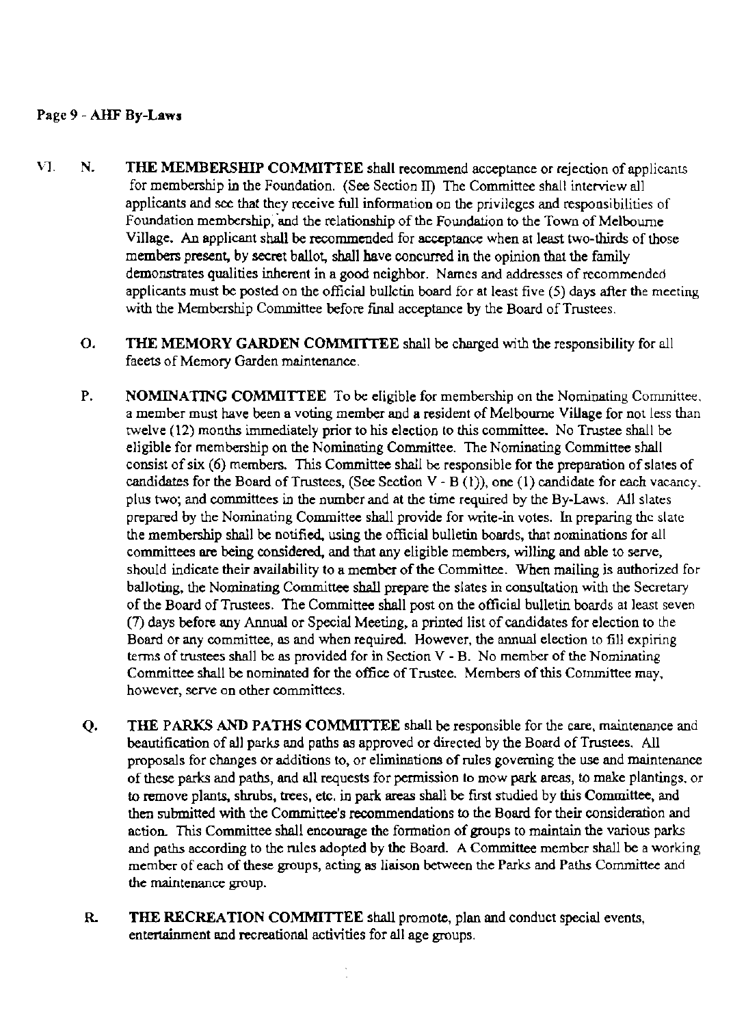#### Page 9 - AHF By-Laws

- VI. N. THE MEMBERSHIP COMMITTEE shall recommend acceptance or rejection of applicants for membership in the Foundation. (See Section II) The Committee shall interview all applicants and see that they receive full information on the privileges and responsibilities of Foundation membership, and the relationship of the Foundation to the Town of Melbourne Village. An applicant shall be recommended for acceptance when at least two-thirds of those members present, by secret ballot, shall have concurred in the opinion that the family demonstrates qualities inherent in a good neighbor. Names and addresses of recommended applicants must be posted on the official bullctin board for at least five  $(5)$  days after the meeting with the Membership Committee before final acceptance by the Board of Trustees.
	- O. THE MEMORY GARDEN COMMITIEE shall be charged with the responsibility for all faeets of Memory Garden maintenance.
	- P. NOMINATING COMMITTEE To be eligible for membership on the Nominating Committee. a member must have been a voting member and a resident of Melbourne Village for not less than twelve (12) months immediately prior to his election to this committee. No Trustee shall be eligible for membership on the Nominating Committee. The Nominating Committee shall consist of six (6) members. This Committee shall be responsible for the preparation of slates of candidates for the Board of Trustees, (See Section V - B  $(1)$ ), one  $(1)$  candidate for each vacancy. plus two; and committees in the number and at the time required by the By-Laws. All slates prepared by the Nominating Committee shall provide for write-in votes. In preparing the slate the membership shall be notified. using the official bulletin boards, that nominations for all committees are being considered, and that any eligible members, willing and able to serve, should indicate their availability to a member of the Committee. When mailing is authorized for balloting, the Nominating Committee shall prepare the slates in consultation with the Secretary of the Board of Trustees. The Committee shall post on the official bulletin boards at least seven (7) days before any Annual or Special Meeting, a printed list of candidates for election to the Board or any committee, as and when required. However, the annual election to fill expiring terms of trustees shall be as provided for in Section V - B. No member of the Nominating Committee shall be nominated for the office of Trustee. Members of this Committee may, however, serve on other committees.
	- Q. THE PARKS AND PATHS COMMITIEE shall be responsible for the care, maintenance and beautification of all parks and paths as approved or directed by the Board of Trustees. All proposals for changes or additions to, or eliminations of rules governing the use and maintenance of these parks and paths, and all requests for permission to mow park areas, to make plantings. or to remove plants, shrubs, trees, etc. in park areas shall be first studied by this Committee. and then submitted with the Committee's recommendations to the Board for their consideration and action. This Committee shall encourage the formation of groups to maintain the various parks and paths according to the rules adopted by the Board. A Committee member shall be a working member of each of these groups, acting as liaison between the Parks and Paths Committee and the maintenance group.
	- R. THE RECREATION COMMITTEE shall promote, plan and conduct special events, entertainment and recreational activities for all age groups.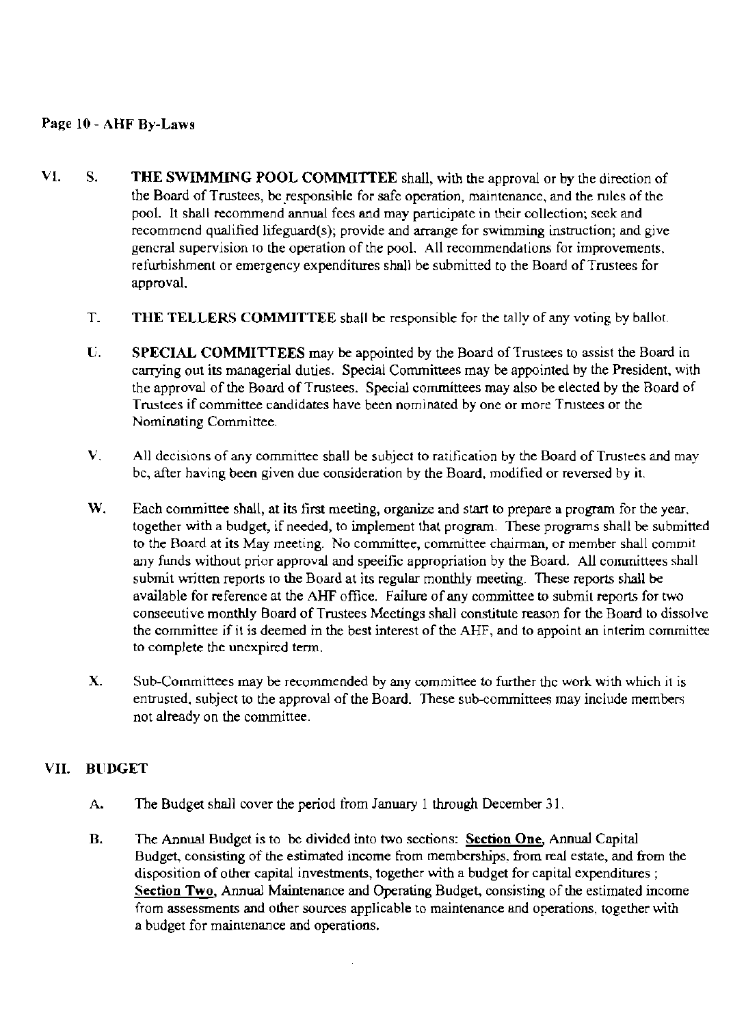## Page 10 - AHF By-Laws

- VI. S. THE SWIMMING POOL COMMITTEE shall, with the approval or by the direction of the Board of Trustees, be responsible for safe operation, maintenance, and the rules of the pool. It shall recommend annual fees and may participate in their collection; seek and recommend qualified lifeguard(s); provide and arrange for swimming instruction; and give general supervision to the operation of the pooL All recommendations for improvements. refurbishment or emergency expenditures shall be submitted to the Board of Trustees for approval.
	- T. THE TELLERS COMMITTEE shall he responsible for the tally of any voting by bailor.
	- U. SPECIAL COMMITTEES may be appointed by the Board of Trustees to assist the Board in carrying out its managerial duties. Special Committees may be appointed by the President, with the approval of the Board of Trustees. Special committees may also be elected by the Board of Trustees if committee candidates have been nominated by one or more Trustees or the Nominating Committee.
	- V. All decisions of any committee shall be subject to ratification by the Board of Trustees and may be, after having been given due consideration by the Board. modified or reversed by it.
	- W. Each committee shall, at its first meeting, organize and start to prepare a program for the year. together with a budget, if needed, to implement that program. These programs shall be submitted to the Board at its May meeting. No committee, committee chairman, or member shall commit any funds without prior approval and speeific appropriation by the Board. All committees shall submit written reports to the Board at its regular monthly meeting. These reports shall be available for reference at the AHF office. Failure of any committee to submit reports for two conseeutive monthly Board of Trustees Meetings shall constitute reason for the Board to dissolve the committee if it is deemed in the best interest of the AHF, and to appoint an interim committee to complete the unexpired tenn.
	- X. Sub-Committees may be recommended by any committee to further the work with which it is entrusted, subject to the approval of the Board. These sub-committees may include members not already on the committee.

## VII. BUDGET

- A. The Budget shall cover the period from January 1 through December 31.
- B. The Annual Budget is to be divided into two sections: Section One, Annual Capital Budget, consisting of the estimated income from memberships. from real estate, and from the disposition of other capital investments, together with a budget for capital expenditures; Section Two, Annual Maintenance and Operating Budget, consisting of the estimated income from assessments and other sources applicable to maintenance and operations, together with a budget for maintenance and operations.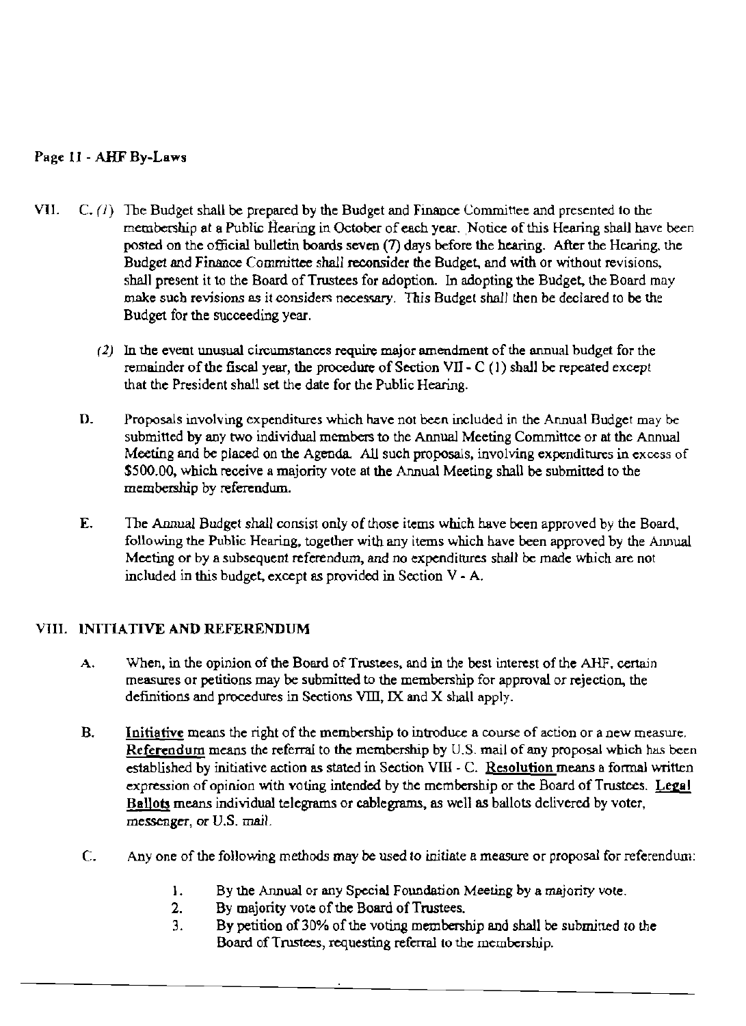# Page 11 - AHF By-Laws

- VII.  $C_r(T)$  The Budget shall be prepared by the Budget and Finance Committee and presented to the membership at a Public Hearing in October of each year. Notice of this Hearing shall have been posted on the official bulletin boards seven (7) days before the hearing. After the Hearing. the Budget and Finance Committee *shall* reconsider the Budget, and with or without revisions, shall present it to the Board of Trustees for adoption. In adopting the Budget, the Board may make such revisions as it considers necessary. This Budget shall then be declared to be the Budget for the succeeding year.
	- $(2)$  In the event unusual circumstances require major amendment of the annual budget for the remainder of the fiscal year, the procedure of Section VII -  $C(1)$  shall be repeated except that the President shall set the date for the Public Hearing.
	- D. Proposals involving expenditures which have not been included in the Annual Budget may be submitted by any two individual members to the Annual Meeting Committee or at the Annual Meeting and be placed on the Agenda. All such proposals, involving expenditures in excess of \$500.00, which receive a majority vote at the Annual Meeting shall be submitted to the membership by referendum.
	- E. The Annual Budget shall consist only of those items which have been approved by the Board. following the Public Hearing, together with any items which have been approved by the Annual Meeting or by a subsequent referendum, and no expenditures shall be made which are not included in this budget, except as provided in Section V - A.

# VIII. INITIATIVE AND REFERENDUM

- A. When, in the opinion of the Board of Trustees, and in the best interest of the AHF, certain measures or petitions may be submitted to the membership for approval or rejection, the definitions and procedures in Sections VIII, IX and X shall apply.
- B. Initiative means the right of the membership to introduce a course of action or a new measure. Referendum means the referral to the membership by U.S. mail of any proposal which has been established by initiative action as stated in Section VIII - C. Resolution means a formal written expression of opinion with voting intended by the membership or the Board of Trustees. Legal Ballots means individual telegrams or cablegrams, as well as ballots delivered by voter, messenger, or *V.S.* mail.
- C. Anyone of the following methods may be used to initiate a measure or proposal for referendum:
	- I. By the Annual or any Special Fonndation Meeting by a majority vote.
	- 2. By majority vote of the Board of Trustees.
	- 3. By petition of 30% of the voting membership and shall be submitted to the Board of Trustees, requesting referral to the membership.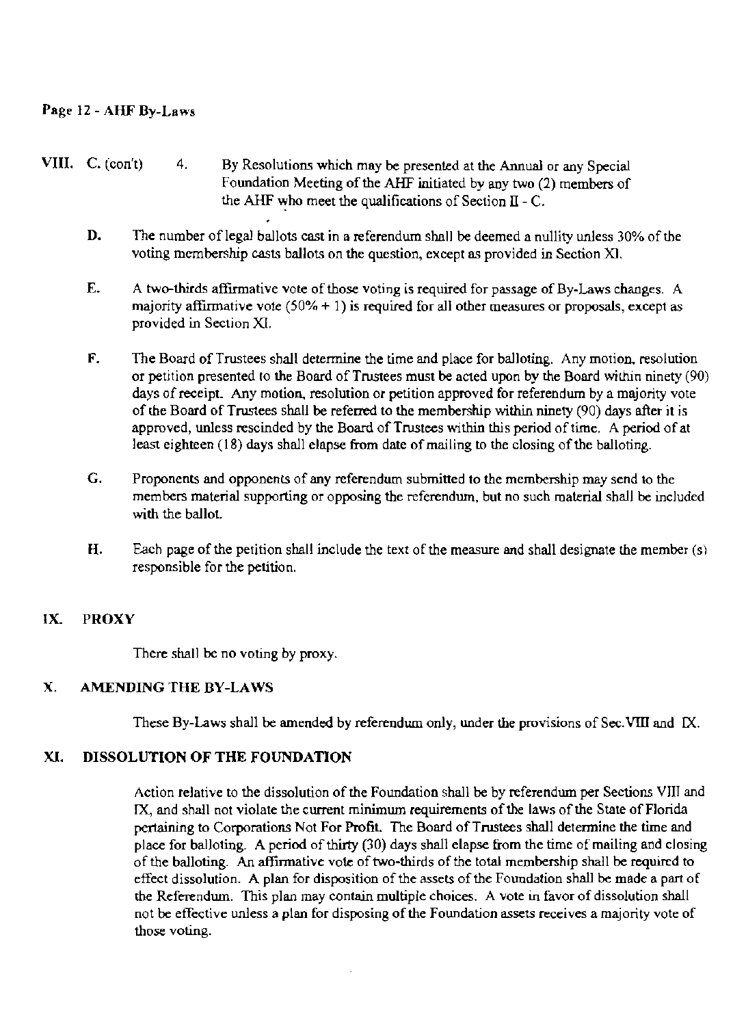# Page 12 - AHF By-Law,

- VIII. C. (con't) 4. By Resolutions which may be presented at the Annual or any Special Foundation Meeting of the AHF initiated by any two (2) members of the AHF who meet the qualifications of Section II - C.
	- D. The number of legal ballots cast in a referendum shall be deemed a nullity unless 30% of the voting membership casts ballots on the question, except as provided in Section XI.
	- E. A two-thirds affirmative vote of those voting is required for passage of By-Laws changes. A majority affirmative vote  $(50\% + 1)$  is required for all other measures or proposals, except as provided in Section XI.
	- F. The Board of Trustees shall determine the time and place for balloting. Any motion. resolution or petition presented to the Board of Trustees must be acted upon by the Board within ninety  $(90)$ days of receipt. Any motion, resolution or petition approved for referendum by a majority vote of the Board of Trustees shall be referred to the membership within ninety (90) days after it is approved, unless rescinded by the Board of Trustees within this period of time. A period of at least eighteen  $(18)$  days shall elapse from date of mailing to the closing of the balloting.
	- G. Proponents and opponents of any referendum submitted to the membership may send to the members material supporting or opposing the referendum. but no such material shall be included with the ballot.
	- H. Each page of the petition shall include the text of the measure and shall designate the member  $(s)$ responsible for the petition.

## IX. PROXY

There shall be no voting by proxy.

## X. AMENDING THE BY-LAWS

These By-Laws shall be amended by referendum only, under the provisions of Sec.VIII and IX.

## XI. DISSOLUTION OF THE FOUNDATION

Action relative to the dissolution of the Foundation shall be by referendum per Sections VIII and IX, and shall not violate the current minimum requirements of the laws of the State of Florida pertaining to Corporations Not For Profit. The Board of Trustees shall determine the time and place for balloting. A period of thirty (30) days shall elapse from the time of mailing and closing of the balloting. An affirmative vote of two-thirds of the total membership shall be required to effect dissolution. A plan for disposition of the assets of the Foundation shall be made a part of the Referendum. This plan may contain multiple choices. A vote in favor of dissolution shall not be effective unless a plan for disposing of the Foundation assets receives a majority vote of those voting.